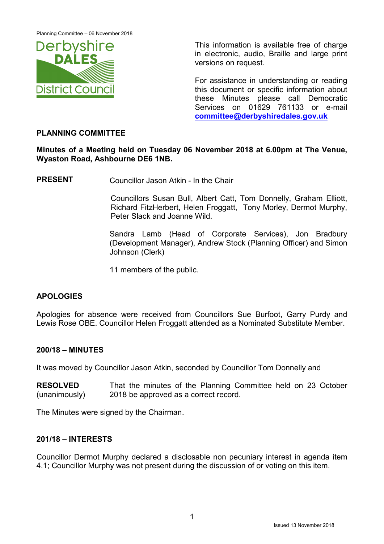Planning Committee – 06 November 2018



 This information is available free of charge in electronic, audio, Braille and large print versions on request.

For assistance in understanding or reading this document or specific information about these Minutes please call Democratic Services on 01629 761133 or e-mail committee@derbyshiredales.gov.uk

### PLANNING COMMITTEE

Minutes of a Meeting held on Tuesday 06 November 2018 at 6.00pm at The Venue, Wyaston Road, Ashbourne DE6 1NB.

PRESENT Councillor Jason Atkin - In the Chair

 Councillors Susan Bull, Albert Catt, Tom Donnelly, Graham Elliott, Richard FitzHerbert, Helen Froggatt, Tony Morley, Dermot Murphy, Peter Slack and Joanne Wild.

Sandra Lamb (Head of Corporate Services), Jon Bradbury (Development Manager), Andrew Stock (Planning Officer) and Simon Johnson (Clerk)

11 members of the public.

# APOLOGIES

Apologies for absence were received from Councillors Sue Burfoot, Garry Purdy and Lewis Rose OBE. Councillor Helen Froggatt attended as a Nominated Substitute Member.

### 200/18 – MINUTES

It was moved by Councillor Jason Atkin, seconded by Councillor Tom Donnelly and

RESOLVED (unanimously) That the minutes of the Planning Committee held on 23 October 2018 be approved as a correct record.

The Minutes were signed by the Chairman.

### 201/18 – INTERESTS

Councillor Dermot Murphy declared a disclosable non pecuniary interest in agenda item 4.1; Councillor Murphy was not present during the discussion of or voting on this item.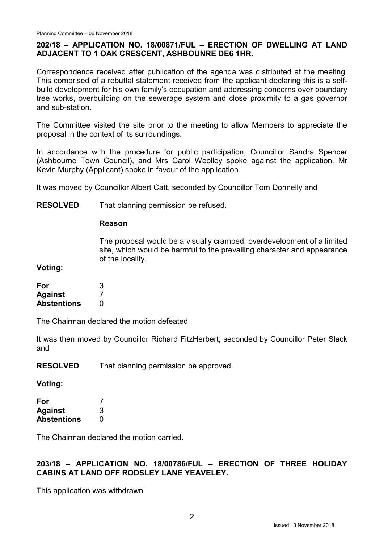## 202/18 – APPLICATION NO. 18/00871/FUL – ERECTION OF DWELLING AT LAND ADJACENT TO 1 OAK CRESCENT, ASHBOUNRE DE6 1HR.

Correspondence received after publication of the agenda was distributed at the meeting. This comprised of a rebuttal statement received from the applicant declaring this is a selfbuild development for his own family's occupation and addressing concerns over boundary tree works, overbuilding on the sewerage system and close proximity to a gas governor and sub-station.

The Committee visited the site prior to the meeting to allow Members to appreciate the proposal in the context of its surroundings.

In accordance with the procedure for public participation, Councillor Sandra Spencer (Ashbourne Town Council), and Mrs Carol Woolley spoke against the application. Mr Kevin Murphy (Applicant) spoke in favour of the application.

It was moved by Councillor Albert Catt, seconded by Councillor Tom Donnelly and

RESOLVED That planning permission be refused.

#### Reason

The proposal would be a visually cramped, overdevelopment of a limited site, which would be harmful to the prevailing character and appearance of the locality.

Voting:

| For                | 3 |
|--------------------|---|
| <b>Against</b>     |   |
| <b>Abstentions</b> | O |

The Chairman declared the motion defeated.

It was then moved by Councillor Richard FitzHerbert, seconded by Councillor Peter Slack and

RESOLVED That planning permission be approved.

Voting:

| For                |   |
|--------------------|---|
| <b>Against</b>     | 3 |
| <b>Abstentions</b> | O |

The Chairman declared the motion carried.

# 203/18 – APPLICATION NO. 18/00786/FUL – ERECTION OF THREE HOLIDAY CABINS AT LAND OFF RODSLEY LANE YEAVELEY.

This application was withdrawn.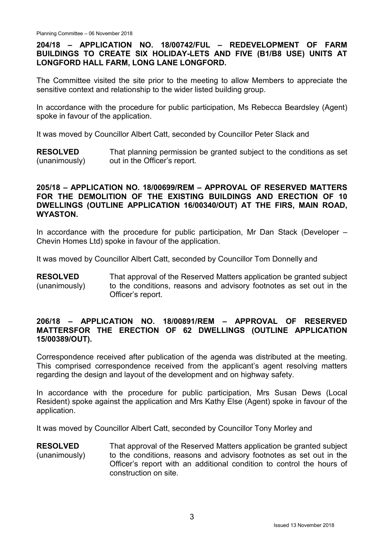### 204/18 – APPLICATION NO. 18/00742/FUL – REDEVELOPMENT OF FARM BUILDINGS TO CREATE SIX HOLIDAY-LETS AND FIVE (B1/B8 USE) UNITS AT LONGFORD HALL FARM, LONG LANE LONGFORD.

The Committee visited the site prior to the meeting to allow Members to appreciate the sensitive context and relationship to the wider listed building group.

In accordance with the procedure for public participation, Ms Rebecca Beardsley (Agent) spoke in favour of the application.

It was moved by Councillor Albert Catt, seconded by Councillor Peter Slack and

RESOLVED (unanimously) That planning permission be granted subject to the conditions as set out in the Officer's report.

#### 205/18 – APPLICATION NO. 18/00699/REM – APPROVAL OF RESERVED MATTERS FOR THE DEMOLITION OF THE EXISTING BUILDINGS AND ERECTION OF 10 DWELLINGS (OUTLINE APPLICATION 16/00340/OUT) AT THE FIRS, MAIN ROAD, WYASTON.

In accordance with the procedure for public participation, Mr Dan Stack (Developer – Chevin Homes Ltd) spoke in favour of the application.

It was moved by Councillor Albert Catt, seconded by Councillor Tom Donnelly and

RESOLVED (unanimously) That approval of the Reserved Matters application be granted subject to the conditions, reasons and advisory footnotes as set out in the Officer's report.

### 206/18 – APPLICATION NO. 18/00891/REM – APPROVAL OF RESERVED MATTERSFOR THE ERECTION OF 62 DWELLINGS (OUTLINE APPLICATION 15/00389/OUT).

Correspondence received after publication of the agenda was distributed at the meeting. This comprised correspondence received from the applicant's agent resolving matters regarding the design and layout of the development and on highway safety.

In accordance with the procedure for public participation, Mrs Susan Dews (Local Resident) spoke against the application and Mrs Kathy Else (Agent) spoke in favour of the application.

It was moved by Councillor Albert Catt, seconded by Councillor Tony Morley and

RESOLVED (unanimously) That approval of the Reserved Matters application be granted subject to the conditions, reasons and advisory footnotes as set out in the Officer's report with an additional condition to control the hours of construction on site.